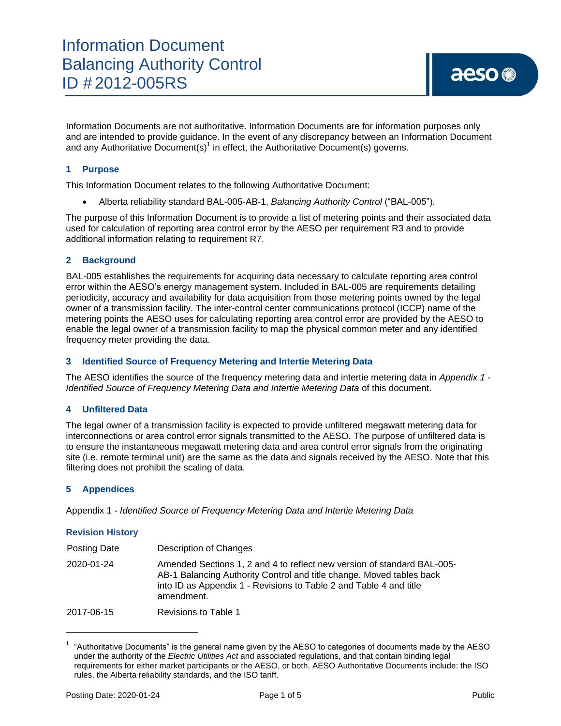Information Documents are not authoritative. Information Documents are for information purposes only and are intended to provide guidance. In the event of any discrepancy between an Information Document and any Authoritative Document(s)<sup>1</sup> in effect, the Authoritative Document(s) governs.

#### **1 Purpose**

This Information Document relates to the following Authoritative Document:

Alberta reliability standard BAL-005-AB-1, *Balancing Authority Control* ("BAL-005").

The purpose of this Information Document is to provide a list of metering points and their associated data used for calculation of reporting area control error by the AESO per requirement R3 and to provide additional information relating to requirement R7.

#### **2 Background**

BAL-005 establishes the requirements for acquiring data necessary to calculate reporting area control error within the AESO's energy management system. Included in BAL-005 are requirements detailing periodicity, accuracy and availability for data acquisition from those metering points owned by the legal owner of a transmission facility. The inter-control center communications protocol (ICCP) name of the metering points the AESO uses for calculating reporting area control error are provided by the AESO to enable the legal owner of a transmission facility to map the physical common meter and any identified frequency meter providing the data.

#### **3 Identified Source of Frequency Metering and Intertie Metering Data**

The AESO identifies the source of the frequency metering data and intertie metering data in *Appendix 1* - *Identified Source of Frequency Metering Data and Intertie Metering Data* of this document.

#### **4 Unfiltered Data**

The legal owner of a transmission facility is expected to provide unfiltered megawatt metering data for interconnections or area control error signals transmitted to the AESO. The purpose of unfiltered data is to ensure the instantaneous megawatt metering data and area control error signals from the originating site (i.e. remote terminal unit) are the same as the data and signals received by the AESO. Note that this filtering does not prohibit the scaling of data.

#### **5 Appendices**

Appendix 1 - *Identified Source of Frequency Metering [Data and Intertie Metering Data](http://www.aeso.ca/rules-standards-tariff/alberta-reliability-standards/bal-005-automatic-generation-control/)*

#### **Revision History**

l

| Posting Date | Description of Changes                                                                                                                                                                                                              |
|--------------|-------------------------------------------------------------------------------------------------------------------------------------------------------------------------------------------------------------------------------------|
| 2020-01-24   | Amended Sections 1, 2 and 4 to reflect new version of standard BAL-005-<br>AB-1 Balancing Authority Control and title change. Moved tables back<br>into ID as Appendix 1 - Revisions to Table 2 and Table 4 and title<br>amendment. |
| 2017-06-15   | Revisions to Table 1                                                                                                                                                                                                                |

 $1$  "Authoritative Documents" is the general name given by the AESO to categories of documents made by the AESO under the authority of the *Electric Utilities Act* and associated regulations, and that contain binding legal requirements for either market participants or the AESO, or both. AESO Authoritative Documents include: the ISO rules, the Alberta reliability standards, and the ISO tariff.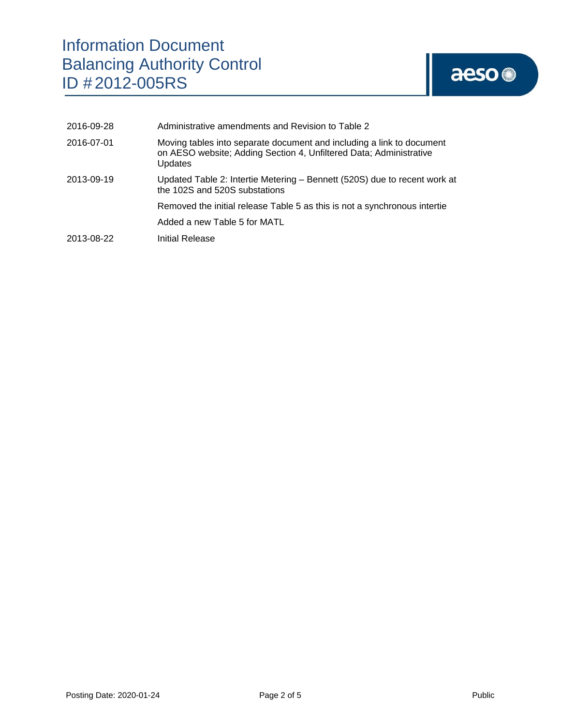# Information Document Balancing Authority Control ID # 2012-005RS

# aeso

| 2016-09-28 | Administrative amendments and Revision to Table 2                                                                                                             |  |
|------------|---------------------------------------------------------------------------------------------------------------------------------------------------------------|--|
| 2016-07-01 | Moving tables into separate document and including a link to document<br>on AESO website; Adding Section 4, Unfiltered Data; Administrative<br><b>Updates</b> |  |
| 2013-09-19 | Updated Table 2: Intertie Metering - Bennett (520S) due to recent work at<br>the 102S and 520S substations                                                    |  |
|            | Removed the initial release Table 5 as this is not a synchronous intertie                                                                                     |  |
|            | Added a new Table 5 for MATL                                                                                                                                  |  |
| 2013-08-22 | Initial Release                                                                                                                                               |  |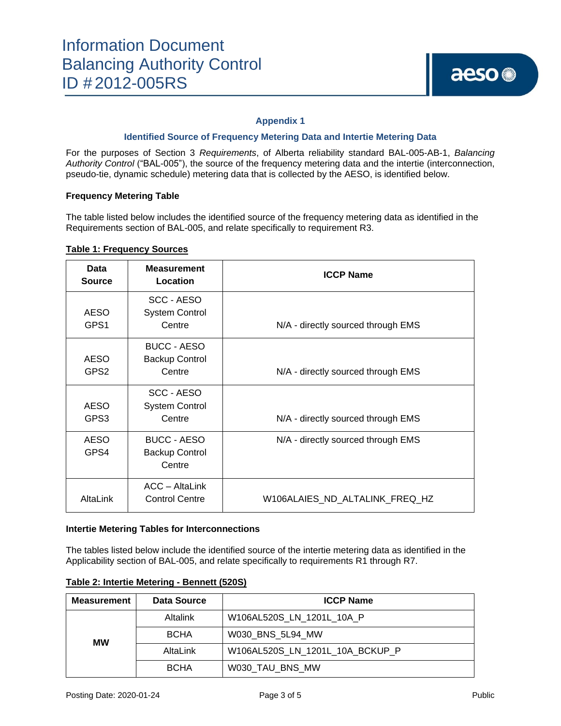#### **Appendix 1**

#### **Identified Source of Frequency Metering Data and Intertie Metering Data**

For the purposes of Section 3 *Requirements*, of Alberta reliability standard BAL-005-AB-1, *Balancing Authority Control* ("BAL-005"), the source of the frequency metering data and the intertie (interconnection, pseudo-tie, dynamic schedule) metering data that is collected by the AESO, is identified below.

#### **Frequency Metering Table**

The table listed below includes the identified source of the frequency metering data as identified in the Requirements section of BAL-005, and relate specifically to requirement R3.

#### **Table 1: Frequency Sources**

| Data<br><b>Source</b>           | <b>Measurement</b><br>Location                        | <b>ICCP Name</b>                   |
|---------------------------------|-------------------------------------------------------|------------------------------------|
| <b>AESO</b><br>GPS1             | SCC - AESO<br><b>System Control</b><br>Centre         | N/A - directly sourced through EMS |
| <b>AESO</b><br>GPS <sub>2</sub> | <b>BUCC - AESO</b><br><b>Backup Control</b><br>Centre | N/A - directly sourced through EMS |
| <b>AESO</b><br>GPS3             | SCC - AESO<br><b>System Control</b><br>Centre         | N/A - directly sourced through EMS |
| <b>AESO</b><br>GPS4             | <b>BUCC - AESO</b><br><b>Backup Control</b><br>Centre | N/A - directly sourced through EMS |
| AltaLink                        | ACC - AltaLink<br><b>Control Centre</b>               | W106ALAIES_ND_ALTALINK_FREQ_HZ     |

#### **Intertie Metering Tables for Interconnections**

The tables listed below include the identified source of the intertie metering data as identified in the Applicability section of BAL-005, and relate specifically to requirements R1 through R7.

| <b>Measurement</b> | Data Source | <b>ICCP Name</b>                |
|--------------------|-------------|---------------------------------|
|                    | Altalink    | W106AL520S LN 1201L 10A P       |
| МW                 | <b>BCHA</b> | W030 BNS 5L94 MW                |
|                    | AltaLink    | W106AL520S LN 1201L 10A BCKUP P |
|                    | <b>BCHA</b> | W030_TAU_BNS_MW                 |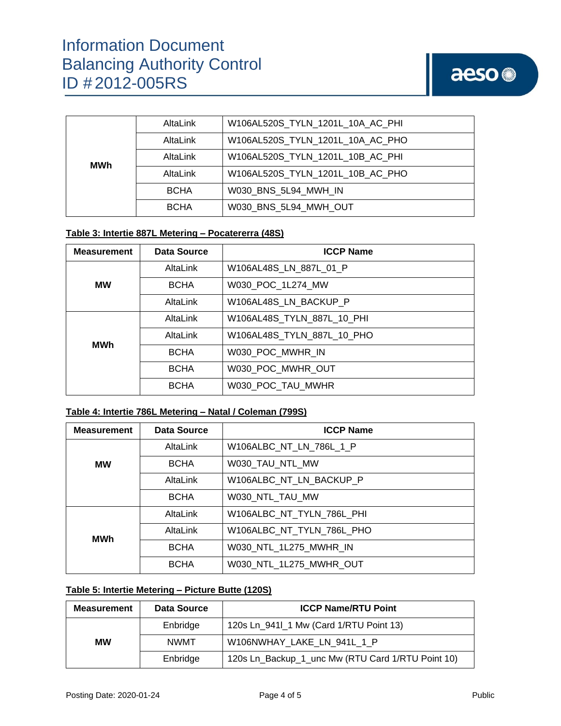| MWh | AltaLink    | W106AL520S_TYLN_1201L_10A_AC_PHI |
|-----|-------------|----------------------------------|
|     | AltaLink    | W106AL520S_TYLN_1201L_10A_AC_PHO |
|     | AltaLink    | W106AL520S TYLN 1201L 10B AC PHI |
|     | AltaLink    | W106AL520S TYLN 1201L 10B AC PHO |
|     | <b>BCHA</b> | W030 BNS 5L94 MWH IN             |
|     | <b>BCHA</b> | W030 BNS 5L94 MWH OUT            |

#### **Table 3: Intertie 887L Metering – Pocatererra (48S)**

| <b>Measurement</b> | Data Source | <b>ICCP Name</b>           |
|--------------------|-------------|----------------------------|
| <b>MW</b>          | AltaLink    | W106AL48S LN 887L 01 P     |
|                    | <b>BCHA</b> | W030_POC_1L274_MW          |
|                    | AltaLink    | W106AL48S_LN_BACKUP_P      |
| <b>MWh</b>         | AltaLink    | W106AL48S TYLN 887L 10 PHI |
|                    | AltaLink    | W106AL48S TYLN 887L 10 PHO |
|                    | <b>BCHA</b> | W030 POC MWHR IN           |
|                    | <b>BCHA</b> | W030 POC MWHR OUT          |
|                    | <b>BCHA</b> | W030 POC TAU MWHR          |

### **Table 4: Intertie 786L Metering – Natal / Coleman (799S)**

| <b>Measurement</b> | Data Source | <b>ICCP Name</b>          |
|--------------------|-------------|---------------------------|
|                    | AltaLink    | W106ALBC_NT_LN_786L_1_P   |
| <b>MW</b>          | <b>BCHA</b> | W030_TAU_NTL_MW           |
|                    | AltaLink    | W106ALBC NT LN BACKUP P   |
|                    | <b>BCHA</b> | W030 NTL TAU MW           |
| <b>MWh</b>         | AltaLink    | W106ALBC NT TYLN 786L PHI |
|                    | AltaLink    | W106ALBC NT TYLN 786L PHO |
|                    | <b>BCHA</b> | W030 NTL 1L275 MWHR IN    |
|                    | <b>BCHA</b> | W030 NTL 1L275 MWHR OUT   |

## **Table 5: Intertie Metering – Picture Butte (120S)**

| <b>Measurement</b> | Data Source | <b>ICCP Name/RTU Point</b>                        |
|--------------------|-------------|---------------------------------------------------|
|                    | Enbridge    | 120s Ln_941l_1 Mw (Card 1/RTU Point 13)           |
| <b>MW</b>          | <b>NWMT</b> | W106NWHAY LAKE LN 941L 1 P                        |
|                    | Enbridge    | 120s Ln_Backup_1_unc Mw (RTU Card 1/RTU Point 10) |